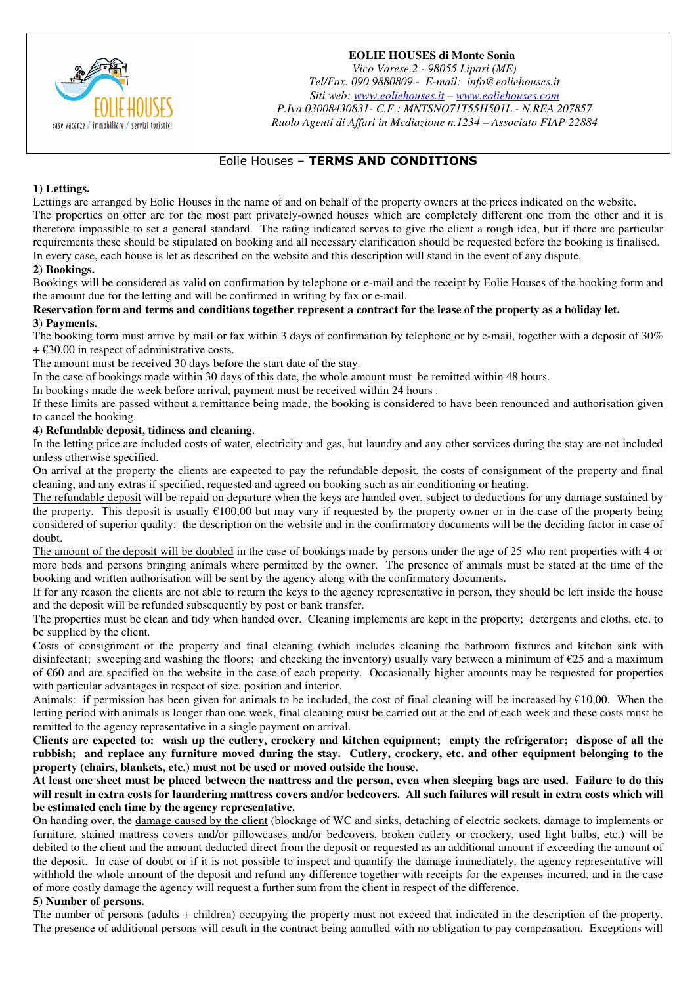

# **EOLIE HOUSES di Monte Sonia**

*Vico Varese 2 - 98055 Lipari (ME) Tel/Fax. 090.9880809 - E-mail: info@eoliehouses.it Siti web: www.eoliehouses.it – www.eoliehouses.com P.Iva 03008430831- C.F.: MNTSNO71T55H501L - N.REA 207857 Ruolo Agenti di Affari in Mediazione n.1234 – Associato FIAP 22884* 

# Eolie Houses – **TERMS AND CONDITIONS**

# **1) Lettings.**

Lettings are arranged by Eolie Houses in the name of and on behalf of the property owners at the prices indicated on the website. The properties on offer are for the most part privately-owned houses which are completely different one from the other and it is therefore impossible to set a general standard. The rating indicated serves to give the client a rough idea, but if there are particular requirements these should be stipulated on booking and all necessary clarification should be requested before the booking is finalised. In every case, each house is let as described on the website and this description will stand in the event of any dispute.

# **2) Bookings.**

Bookings will be considered as valid on confirmation by telephone or e-mail and the receipt by Eolie Houses of the booking form and the amount due for the letting and will be confirmed in writing by fax or e-mail.

#### **Reservation form and terms and conditions together represent a contract for the lease of the property as a holiday let. 3) Payments.**

The booking form must arrive by mail or fax within 3 days of confirmation by telephone or by e-mail, together with a deposit of 30%  $+ \text{\textsterling}30,00$  in respect of administrative costs.

The amount must be received 30 days before the start date of the stay.

In the case of bookings made within 30 days of this date, the whole amount must be remitted within 48 hours.

In bookings made the week before arrival, payment must be received within 24 hours .

If these limits are passed without a remittance being made, the booking is considered to have been renounced and authorisation given to cancel the booking.

# **4) Refundable deposit, tidiness and cleaning.**

In the letting price are included costs of water, electricity and gas, but laundry and any other services during the stay are not included unless otherwise specified.

On arrival at the property the clients are expected to pay the refundable deposit, the costs of consignment of the property and final cleaning, and any extras if specified, requested and agreed on booking such as air conditioning or heating.

The refundable deposit will be repaid on departure when the keys are handed over, subject to deductions for any damage sustained by the property. This deposit is usually  $\epsilon$ 100,00 but may vary if requested by the property owner or in the case of the property being considered of superior quality: the description on the website and in the confirmatory documents will be the deciding factor in case of doubt.

The amount of the deposit will be doubled in the case of bookings made by persons under the age of 25 who rent properties with 4 or more beds and persons bringing animals where permitted by the owner. The presence of animals must be stated at the time of the booking and written authorisation will be sent by the agency along with the confirmatory documents.

If for any reason the clients are not able to return the keys to the agency representative in person, they should be left inside the house and the deposit will be refunded subsequently by post or bank transfer.

The properties must be clean and tidy when handed over. Cleaning implements are kept in the property; detergents and cloths, etc. to be supplied by the client.

Costs of consignment of the property and final cleaning (which includes cleaning the bathroom fixtures and kitchen sink with disinfectant; sweeping and washing the floors; and checking the inventory) usually vary between a minimum of  $\epsilon$ 25 and a maximum of €60 and are specified on the website in the case of each property. Occasionally higher amounts may be requested for properties with particular advantages in respect of size, position and interior.

Animals: if permission has been given for animals to be included, the cost of final cleaning will be increased by  $\epsilon$ 10,00. When the letting period with animals is longer than one week, final cleaning must be carried out at the end of each week and these costs must be remitted to the agency representative in a single payment on arrival.

**Clients are expected to: wash up the cutlery, crockery and kitchen equipment; empty the refrigerator; dispose of all the rubbish; and replace any furniture moved during the stay. Cutlery, crockery, etc. and other equipment belonging to the property (chairs, blankets, etc.) must not be used or moved outside the house.** 

**At least one sheet must be placed between the mattress and the person, even when sleeping bags are used. Failure to do this will result in extra costs for laundering mattress covers and/or bedcovers. All such failures will result in extra costs which will be estimated each time by the agency representative.** 

On handing over, the damage caused by the client (blockage of WC and sinks, detaching of electric sockets, damage to implements or furniture, stained mattress covers and/or pillowcases and/or bedcovers, broken cutlery or crockery, used light bulbs, etc.) will be debited to the client and the amount deducted direct from the deposit or requested as an additional amount if exceeding the amount of the deposit. In case of doubt or if it is not possible to inspect and quantify the damage immediately, the agency representative will withhold the whole amount of the deposit and refund any difference together with receipts for the expenses incurred, and in the case of more costly damage the agency will request a further sum from the client in respect of the difference.

#### **5) Number of persons.**

The number of persons (adults + children) occupying the property must not exceed that indicated in the description of the property. The presence of additional persons will result in the contract being annulled with no obligation to pay compensation. Exceptions will